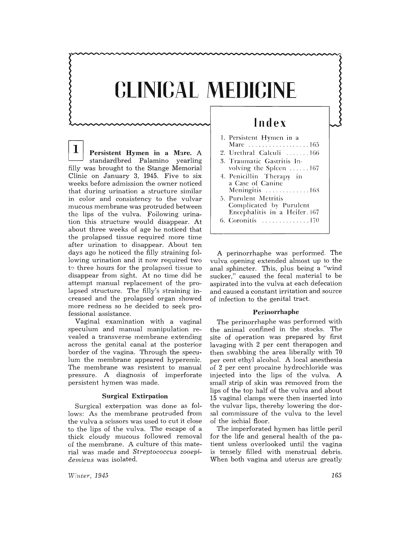# **CLINICAL MEDICINE**

**1** Persistent Hymen in a Mare. A standardbred Palamino yearling filly was brought to the Stange Memorial Clinic on January 3, 1945. Five to six weeks before admission the owner noticed that during urination a structure similar in color and consistency to the vulvar mucous membrane was protruded between the lips of the vulva. Following urination this structure would disappear. At about three weeks of age he noticed that the prolapsed tissue required more time after urination to disappear. About ten days ago he noticed the filly straining following urination and it now required two to three hours for the prolapsed tissue to disappear from sight. At no time did he attempt manual replacement of the prolapsed structure. The filly's straining increased and the prolapsed organ showed more redness so he decided to seek professional assistance.

Vaginal examination with a vaginal speculum and manual manipulation revealed a transverse membrane extending across the genital canal at the posterior border of the vagina, Through the speculum the membrane appeared hyperemic. The membrane was resistent to manual pressure. A diagnosis of imperforate persistent hymen was made.

# **Surgical Extirpation**

Surgical exterpation was done as follows: As the membrane protruded from the vulva a scissors was used to cut it close to the lips of the vulva. The escape of a thick cloudy mucous followed removal of the membrane. A culture of this material was made and *Streptococcus zooepidemicus* was isolated.

# **Index**

| 1. Persistent Hymen in a     |
|------------------------------|
| Mare 165                     |
| 2. Urethral Calculi 166      |
| 3. Traumatic Gastritis In-   |
| volving the Spleen 167       |
| 4. Penicillin Therapy in     |
| a Case of Canine             |
| Meningitis 168               |
| 5. Purulent Metritis         |
| Complicated by Purulent      |
| Encephalitis in a Heifer 167 |
| 6. Coronitis 170             |
|                              |

A perinorrhaphe was performed. The vulva opening extended almost up to the anal sphincter. This, plus being a "wind sucker," caused the fecal material to be aspirated into the vulva at each defecation and caused a constant irritation and source of infection to the genital tract.

#### **Perinorrhaphe**

The perinorrhaphe was performed with the animal confined in the stocks. The site of operation was prepared by first lavaging with 2 per cent therapogen and then swabbing the area liberally with 70 per cent ethyl alcohol. A local anesthesia of 2 per cent procaine hydrochloride was injected into the lips of the vulva. A small. strip of skin was removed from the lips of the top half of the vulva and about 15 vaginal clamps were then inserted into the vulvar lips, thereby lowering the dorsal. commissure of the vulva to the level of the ischial floor.

The imperforated hymen has little peril for the life and general health of the patient unless overlooked until the vagina is tensely filled with menstrual debris. When both vagina and uterus are greatly

*Wente?'. 1945*